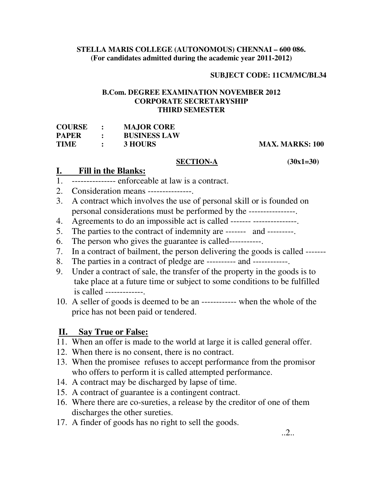#### **STELLA MARIS COLLEGE (AUTONOMOUS) CHENNAI – 600 086. (For candidates admitted during the academic year 2011-2012)**

### **SUBJECT CODE: 11CM/MC/BL34**

#### **B.Com. DEGREE EXAMINATION NOVEMBER 2012 CORPORATE SECRETARYSHIP THIRD SEMESTER**

| <b>COURSE</b> | $\ddot{\cdot}$ | <b>MAJOR CORE</b>   |
|---------------|----------------|---------------------|
| <b>PAPER</b>  | $\mathbf{r}$   | <b>BUSINESS LAW</b> |
| TIME          | $\ddot{\cdot}$ | 3 HOURS             |

#### **MAX. MARKS: 100**

#### **SECTION-A (30x1=30)**

## **I. Fill in the Blanks:**

- $\frac{1}{1}$ . ---------------- enforceable at law is a contract.
- 2. Consideration means ---------------.
- 3. A contract which involves the use of personal skill or is founded on personal considerations must be performed by the ----------------.
- 4. Agreements to do an impossible act is called ------- ----------------.
- 5. The parties to the contract of indemnity are ------- and ---------.
- 6. The person who gives the guarantee is called-----------.
- 7. In a contract of bailment, the person delivering the goods is called -------
- 8. The parties in a contract of pledge are ---------- and ------------.
- 9. Under a contract of sale, the transfer of the property in the goods is to take place at a future time or subject to some conditions to be fulfilled is called -------------.
- 10. A seller of goods is deemed to be an ------------ when the whole of the price has not been paid or tendered.

## **II. Say True or False:**

- 11. When an offer is made to the world at large it is called general offer.
- 12. When there is no consent, there is no contract.
- 13. When the promisee refuses to accept performance from the promisor who offers to perform it is called attempted performance.
- 14. A contract may be discharged by lapse of time.
- 15. A contract of guarantee is a contingent contract.
- 16. Where there are co-sureties, a release by the creditor of one of them discharges the other sureties.
- 17. A finder of goods has no right to sell the goods.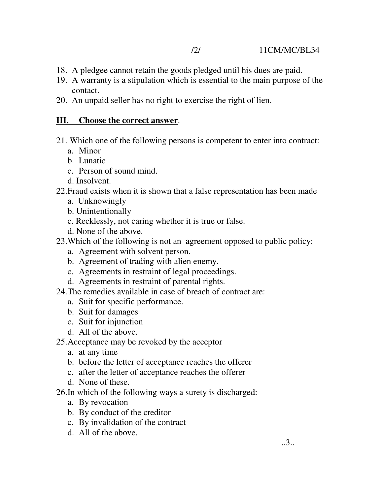- 18. A pledgee cannot retain the goods pledged until his dues are paid.
- 19. A warranty is a stipulation which is essential to the main purpose of the contact.
- 20. An unpaid seller has no right to exercise the right of lien.

## **III. Choose the correct answer**.

- 21. Which one of the following persons is competent to enter into contract:
	- a. Minor
	- b. Lunatic
	- c. Person of sound mind.
	- d. Insolvent.
- 22.Fraud exists when it is shown that a false representation has been made
	- a. Unknowingly
	- b. Unintentionally
	- c. Recklessly, not caring whether it is true or false.
	- d. None of the above.
- 23.Which of the following is not an agreement opposed to public policy:
	- a. Agreement with solvent person.
	- b. Agreement of trading with alien enemy.
	- c. Agreements in restraint of legal proceedings.
	- d. Agreements in restraint of parental rights.
- 24.The remedies available in case of breach of contract are:
	- a. Suit for specific performance.
	- b. Suit for damages
	- c. Suit for injunction
	- d. All of the above.
- 25.Acceptance may be revoked by the acceptor
	- a. at any time
	- b. before the letter of acceptance reaches the offerer
	- c. after the letter of acceptance reaches the offerer
	- d. None of these.
- 26.In which of the following ways a surety is discharged:
	- a. By revocation
	- b. By conduct of the creditor
	- c. By invalidation of the contract
	- d. All of the above.